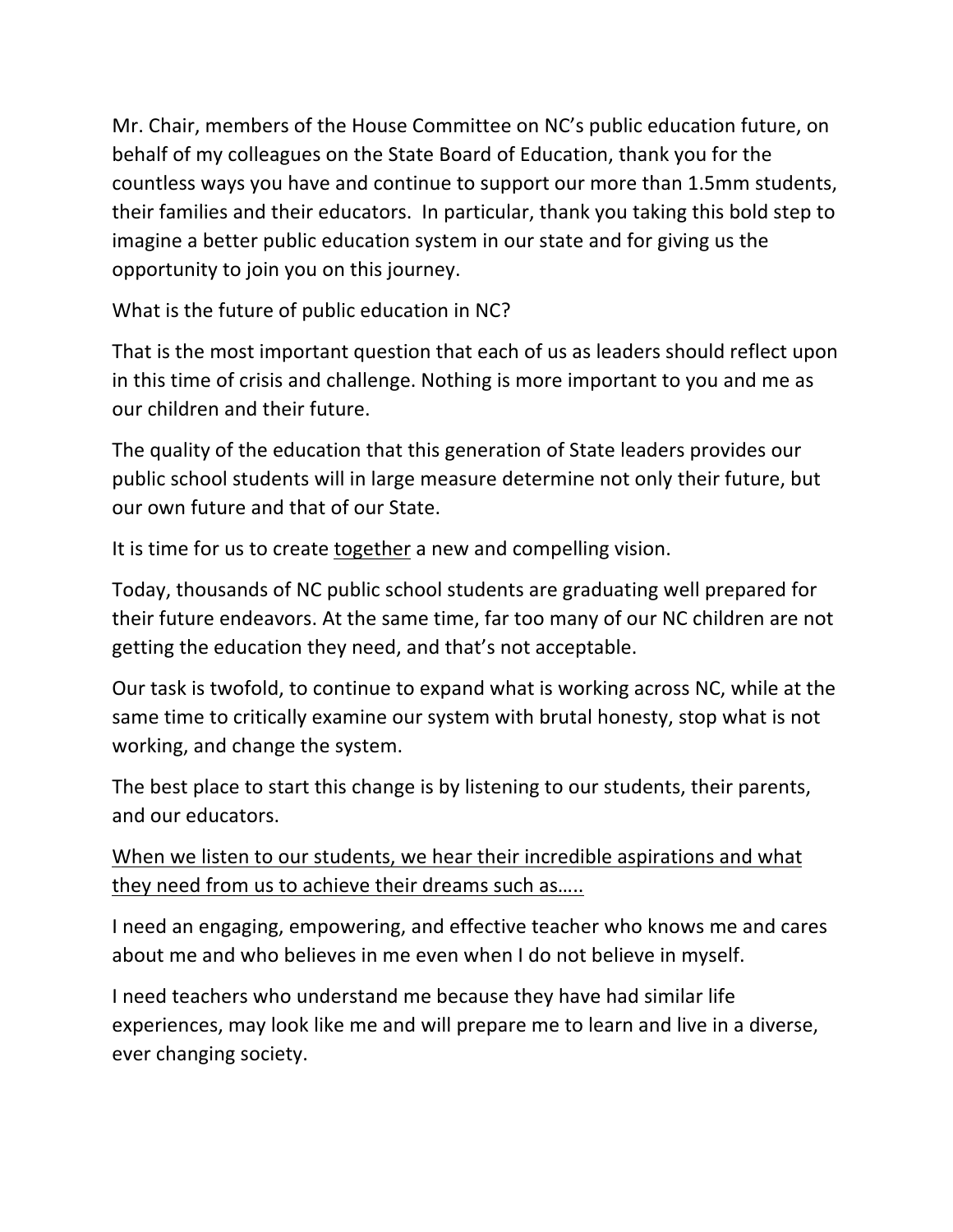Mr. Chair, members of the House Committee on NC's public education future, on behalf of my colleagues on the State Board of Education, thank you for the countless ways you have and continue to support our more than 1.5mm students, their families and their educators. In particular, thank you taking this bold step to imagine a better public education system in our state and for giving us the opportunity to join you on this journey.

What is the future of public education in NC?

That is the most important question that each of us as leaders should reflect upon in this time of crisis and challenge. Nothing is more important to you and me as our children and their future.

The quality of the education that this generation of State leaders provides our public school students will in large measure determine not only their future, but our own future and that of our State.

It is time for us to create together a new and compelling vision.

Today, thousands of NC public school students are graduating well prepared for their future endeavors. At the same time, far too many of our NC children are not getting the education they need, and that's not acceptable.

Our task is twofold, to continue to expand what is working across NC, while at the same time to critically examine our system with brutal honesty, stop what is not working, and change the system.

The best place to start this change is by listening to our students, their parents, and our educators.

When we listen to our students, we hear their incredible aspirations and what they need from us to achieve their dreams such as…..

I need an engaging, empowering, and effective teacher who knows me and cares about me and who believes in me even when I do not believe in myself.

I need teachers who understand me because they have had similar life experiences, may look like me and will prepare me to learn and live in a diverse, ever changing society.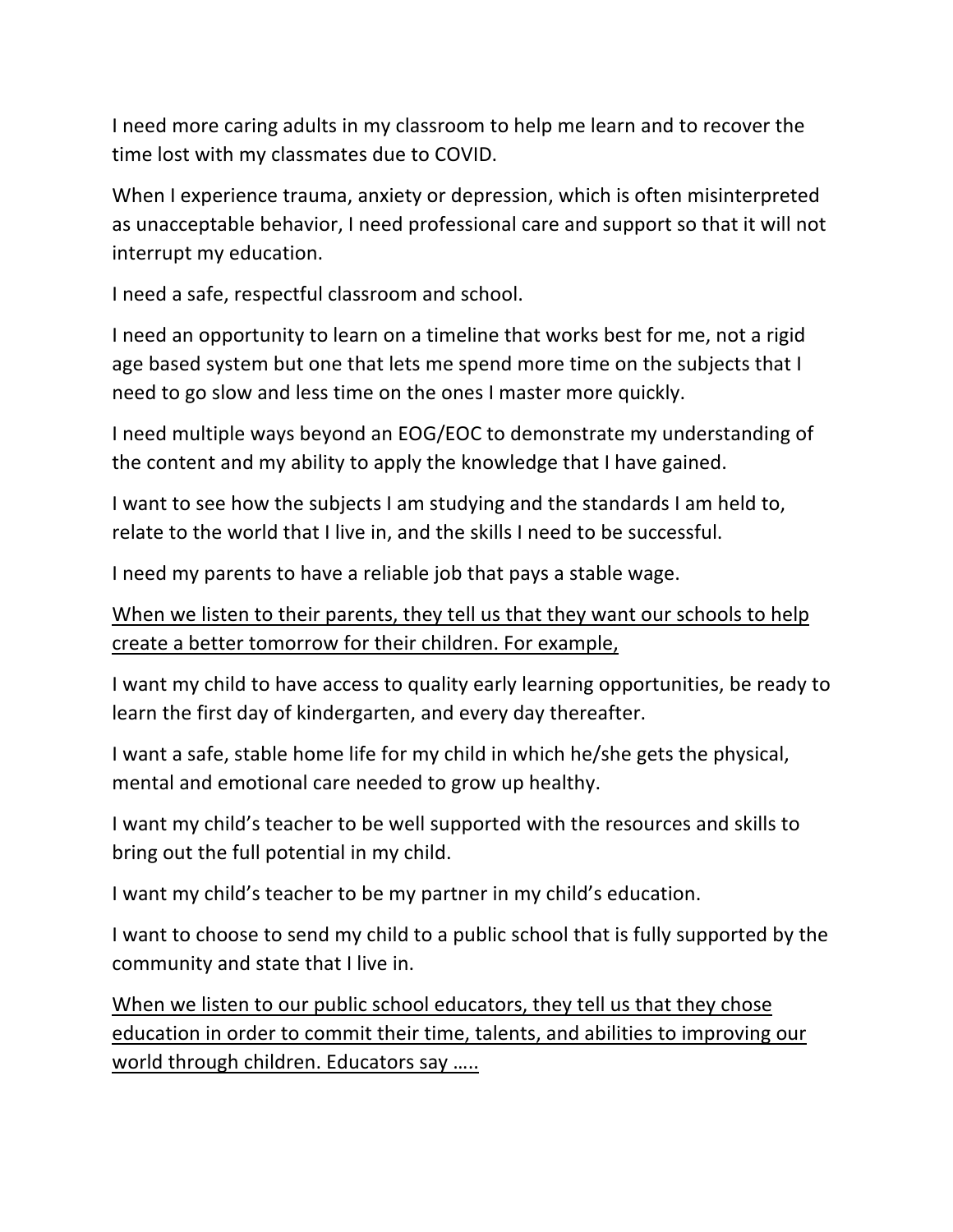I need more caring adults in my classroom to help me learn and to recover the time lost with my classmates due to COVID.

When I experience trauma, anxiety or depression, which is often misinterpreted as unacceptable behavior, I need professional care and support so that it will not interrupt my education.

I need a safe, respectful classroom and school.

I need an opportunity to learn on a timeline that works best for me, not a rigid age based system but one that lets me spend more time on the subjects that I need to go slow and less time on the ones I master more quickly.

I need multiple ways beyond an EOG/EOC to demonstrate my understanding of the content and my ability to apply the knowledge that I have gained.

I want to see how the subjects I am studying and the standards I am held to, relate to the world that I live in, and the skills I need to be successful.

I need my parents to have a reliable job that pays a stable wage.

When we listen to their parents, they tell us that they want our schools to help create a better tomorrow for their children. For example,

I want my child to have access to quality early learning opportunities, be ready to learn the first day of kindergarten, and every day thereafter.

I want a safe, stable home life for my child in which he/she gets the physical, mental and emotional care needed to grow up healthy.

I want my child's teacher to be well supported with the resources and skills to bring out the full potential in my child.

I want my child's teacher to be my partner in my child's education.

I want to choose to send my child to a public school that is fully supported by the community and state that I live in.

When we listen to our public school educators, they tell us that they chose education in order to commit their time, talents, and abilities to improving our world through children. Educators say …..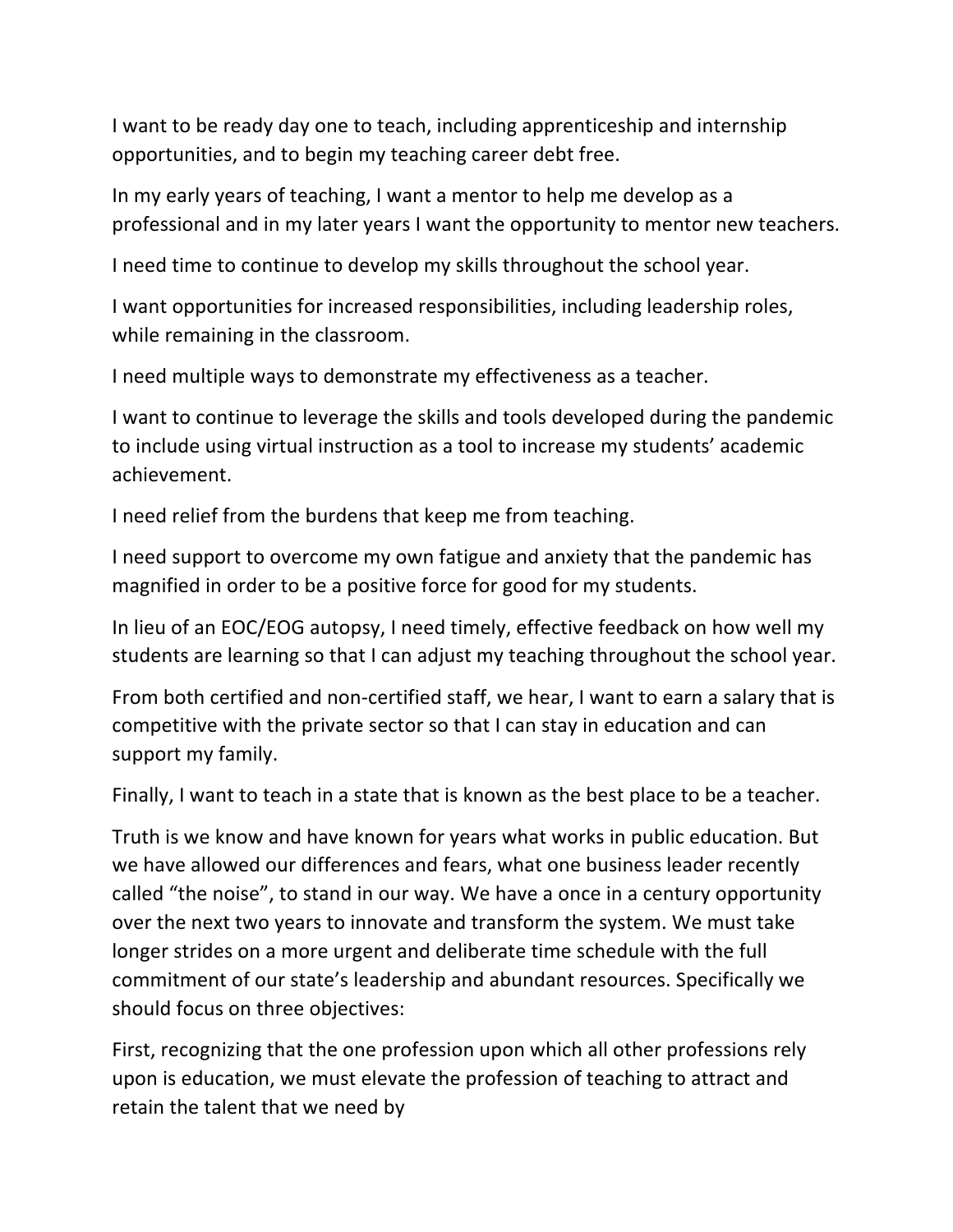I want to be ready day one to teach, including apprenticeship and internship opportunities, and to begin my teaching career debt free.

In my early years of teaching, I want a mentor to help me develop as a professional and in my later years I want the opportunity to mentor new teachers.

I need time to continue to develop my skills throughout the school year.

I want opportunities for increased responsibilities, including leadership roles, while remaining in the classroom.

I need multiple ways to demonstrate my effectiveness as a teacher.

I want to continue to leverage the skills and tools developed during the pandemic to include using virtual instruction as a tool to increase my students' academic achievement.

I need relief from the burdens that keep me from teaching.

I need support to overcome my own fatigue and anxiety that the pandemic has magnified in order to be a positive force for good for my students.

In lieu of an EOC/EOG autopsy, I need timely, effective feedback on how well my students are learning so that I can adjust my teaching throughout the school year.

From both certified and non-certified staff, we hear, I want to earn a salary that is competitive with the private sector so that I can stay in education and can support my family.

Finally, I want to teach in a state that is known as the best place to be a teacher.

Truth is we know and have known for years what works in public education. But we have allowed our differences and fears, what one business leader recently called "the noise", to stand in our way. We have a once in a century opportunity over the next two years to innovate and transform the system. We must take longer strides on a more urgent and deliberate time schedule with the full commitment of our state's leadership and abundant resources. Specifically we should focus on three objectives:

First, recognizing that the one profession upon which all other professions rely upon is education, we must elevate the profession of teaching to attract and retain the talent that we need by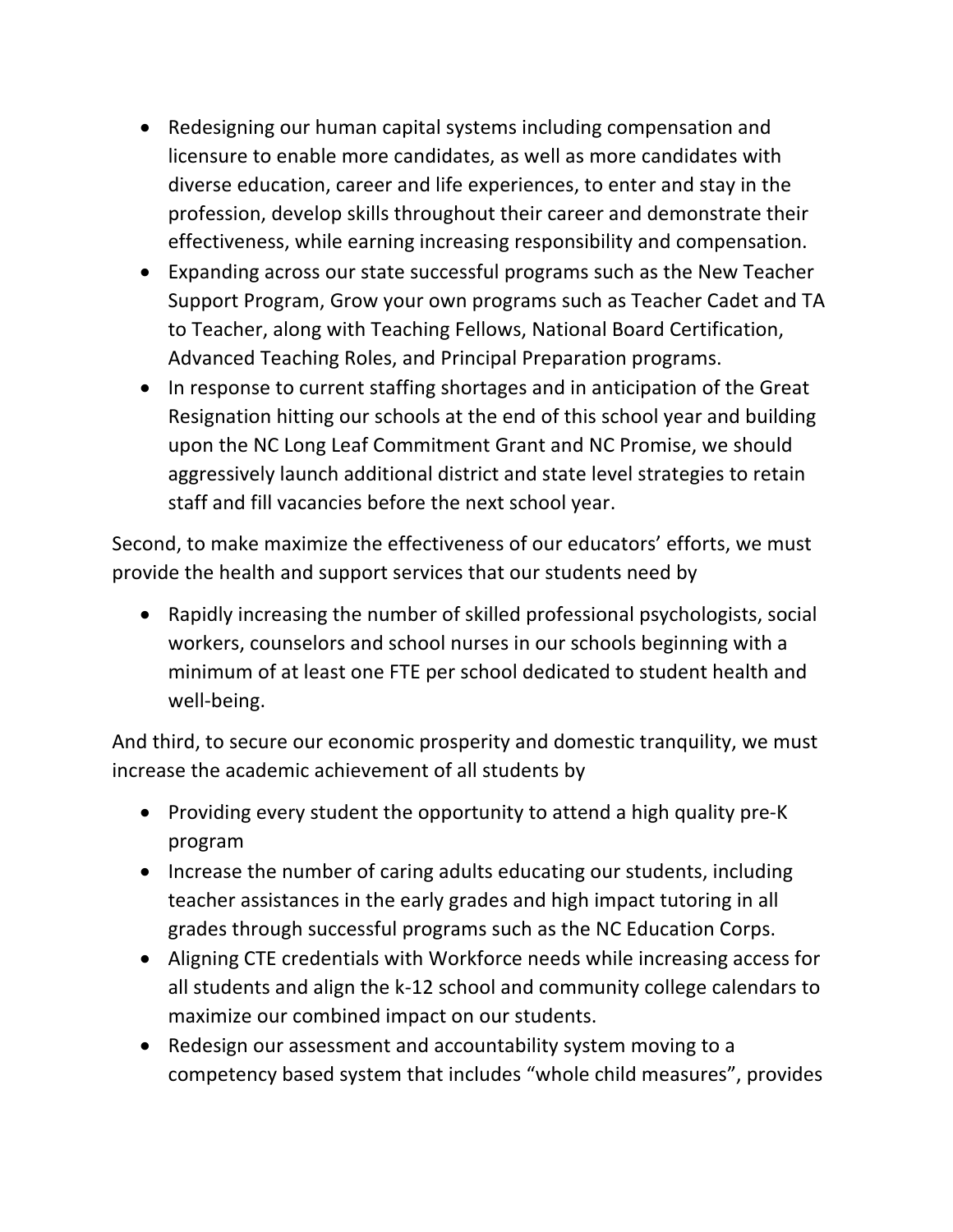- Redesigning our human capital systems including compensation and licensure to enable more candidates, as well as more candidates with diverse education, career and life experiences, to enter and stay in the profession, develop skills throughout their career and demonstrate their effectiveness, while earning increasing responsibility and compensation.
- Expanding across our state successful programs such as the New Teacher Support Program, Grow your own programs such as Teacher Cadet and TA to Teacher, along with Teaching Fellows, National Board Certification, Advanced Teaching Roles, and Principal Preparation programs.
- In response to current staffing shortages and in anticipation of the Great Resignation hitting our schools at the end of this school year and building upon the NC Long Leaf Commitment Grant and NC Promise, we should aggressively launch additional district and state level strategies to retain staff and fill vacancies before the next school year.

Second, to make maximize the effectiveness of our educators' efforts, we must provide the health and support services that our students need by

• Rapidly increasing the number of skilled professional psychologists, social workers, counselors and school nurses in our schools beginning with a minimum of at least one FTE per school dedicated to student health and well-being.

And third, to secure our economic prosperity and domestic tranquility, we must increase the academic achievement of all students by

- Providing every student the opportunity to attend a high quality pre-K program
- Increase the number of caring adults educating our students, including teacher assistances in the early grades and high impact tutoring in all grades through successful programs such as the NC Education Corps.
- Aligning CTE credentials with Workforce needs while increasing access for all students and align the k-12 school and community college calendars to maximize our combined impact on our students.
- Redesign our assessment and accountability system moving to a competency based system that includes "whole child measures", provides